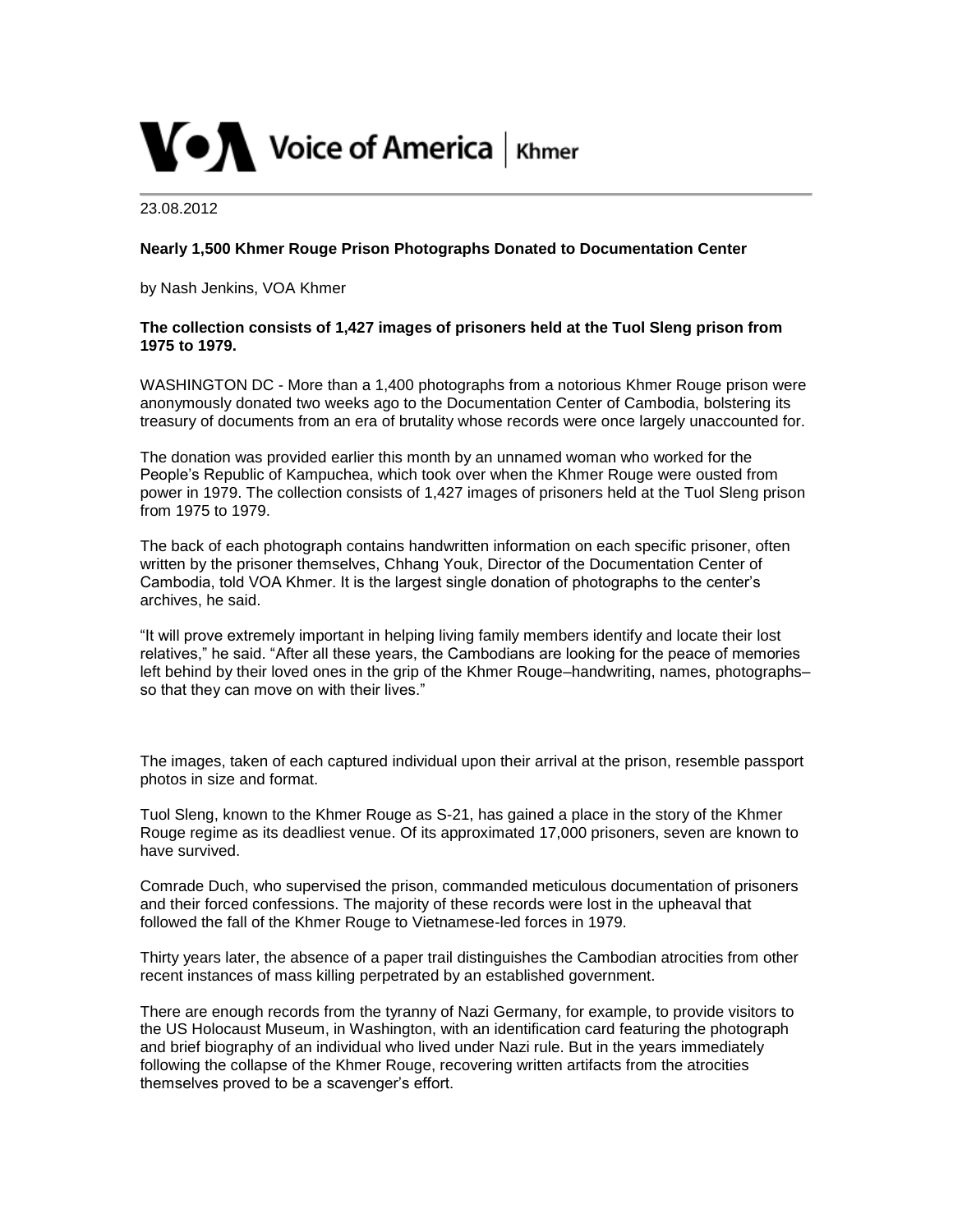

23.08.2012

## **Nearly 1,500 Khmer Rouge Prison Photographs Donated to Documentation Center**

by Nash Jenkins, VOA Khmer

## **The collection consists of 1,427 images of prisoners held at the Tuol Sleng prison from 1975 to 1979.**

WASHINGTON DC - More than a 1,400 photographs from a notorious Khmer Rouge prison were anonymously donated two weeks ago to the Documentation Center of Cambodia, bolstering its treasury of documents from an era of brutality whose records were once largely unaccounted for.

The donation was provided earlier this month by an unnamed woman who worked for the People's Republic of Kampuchea, which took over when the Khmer Rouge were ousted from power in 1979. The collection consists of 1,427 images of prisoners held at the Tuol Sleng prison from 1975 to 1979.

The back of each photograph contains handwritten information on each specific prisoner, often written by the prisoner themselves, Chhang Youk, Director of the Documentation Center of Cambodia, told VOA Khmer. It is the largest single donation of photographs to the center's archives, he said.

"It will prove extremely important in helping living family members identify and locate their lost relatives," he said. "After all these years, the Cambodians are looking for the peace of memories left behind by their loved ones in the grip of the Khmer Rouge–handwriting, names, photographs– so that they can move on with their lives."

The images, taken of each captured individual upon their arrival at the prison, resemble passport photos in size and format.

Tuol Sleng, known to the Khmer Rouge as S-21, has gained a place in the story of the Khmer Rouge regime as its deadliest venue. Of its approximated 17,000 prisoners, seven are known to have survived.

Comrade Duch, who supervised the prison, commanded meticulous documentation of prisoners and their forced confessions. The majority of these records were lost in the upheaval that followed the fall of the Khmer Rouge to Vietnamese-led forces in 1979.

Thirty years later, the absence of a paper trail distinguishes the Cambodian atrocities from other recent instances of mass killing perpetrated by an established government.

There are enough records from the tyranny of Nazi Germany, for example, to provide visitors to the US Holocaust Museum, in Washington, with an identification card featuring the photograph and brief biography of an individual who lived under Nazi rule. But in the years immediately following the collapse of the Khmer Rouge, recovering written artifacts from the atrocities themselves proved to be a scavenger's effort.